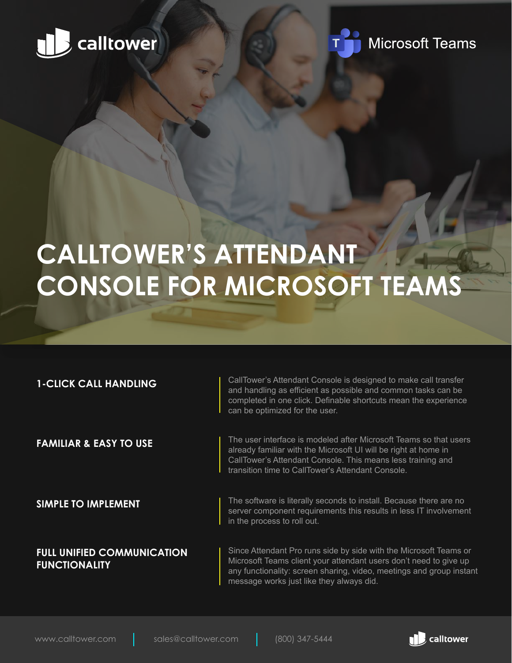



# **CALLTOWER'S ATTENDANT CONSOLE FOR MICROSOFT TEAMS**

| <b>1-CLICK CALL HANDLING</b>                              | CallTower's Attendant Console is designed to make call transfer<br>and handling as efficient as possible and common tasks can be<br>completed in one click. Definable shortcuts mean the experience<br>can be optimized for the user.                      |
|-----------------------------------------------------------|------------------------------------------------------------------------------------------------------------------------------------------------------------------------------------------------------------------------------------------------------------|
| <b>FAMILIAR &amp; EASY TO USE</b>                         | The user interface is modeled after Microsoft Teams so that users<br>already familiar with the Microsoft UI will be right at home in<br>CallTower's Attendant Console. This means less training and<br>transition time to CallTower's Attendant Console.   |
| <b>SIMPLE TO IMPLEMENT</b>                                | The software is literally seconds to install. Because there are no<br>server component requirements this results in less IT involvement<br>in the process to roll out.                                                                                     |
| <b>FULL UNIFIED COMMUNICATION</b><br><b>FUNCTIONALITY</b> | Since Attendant Pro runs side by side with the Microsoft Teams or<br>Microsoft Teams client your attendant users don't need to give up<br>any functionality: screen sharing, video, meetings and group instant<br>message works just like they always did. |

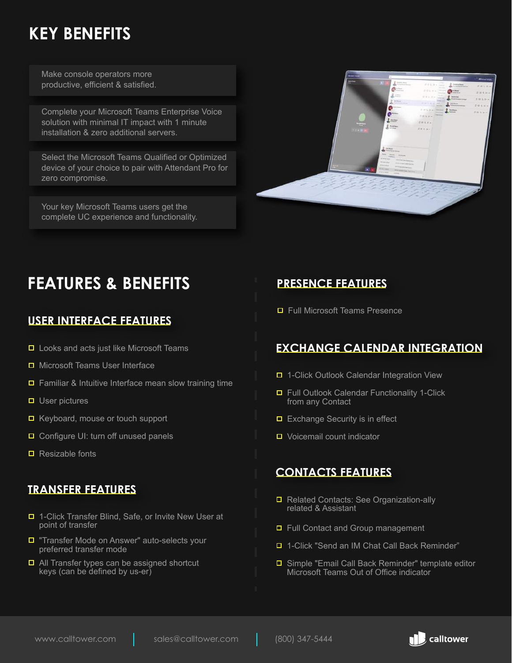# **KEY BENEFITS**

Make console operators more productive, efficient & satisfied.

Complete your Microsoft Teams Enterprise Voice solution with minimal IT impact with 1 minute installation & zero additional servers.

Select the Microsoft Teams Qualified or Optimized device of your choice to pair with Attendant Pro for zero compromise.

Your key Microsoft Teams users get the complete UC experience and functionality.



# **FEATURES & BENEFITS**

#### **USER INTERFACE FEATURES**

- $\Box$  Looks and acts just like Microsoft Teams
- Microsoft Teams User Interface
- $\Box$  Familiar & Intuitive Interface mean slow training time
- $\Box$  User pictures
- $\blacksquare$  Keyboard, mouse or touch support
- $\Box$  Configure UI: turn off unused panels
- $\blacksquare$  Resizable fonts

#### **TRANSFER FEATURES**

- □ 1-Click Transfer Blind, Safe, or Invite New User at point of transfer
- **T** "Transfer Mode on Answer" auto-selects your preferred transfer mode
- $\Box$  All Transfer types can be assigned shortcut keys (can be defined by us-er)

# **PRESENCE FEATURES**

■ Full Microsoft Teams Presence

# **EXCHANGE CALENDAR INTEGRATION**

- □ 1-Click Outlook Calendar Integration View
- $\Box$  Full Outlook Calendar Functionality 1-Click from any Contact
- $\Box$  Exchange Security is in effect
- Voicemail count indicator

#### **CONTACTS FEATURES**

- Related Contacts: See Organization-ally related & Assistant
- □ Full Contact and Group management
- □ 1-Click "Send an IM Chat Call Back Reminder"
- Simple "Email Call Back Reminder" template editor Microsoft Teams Out of Office indicator